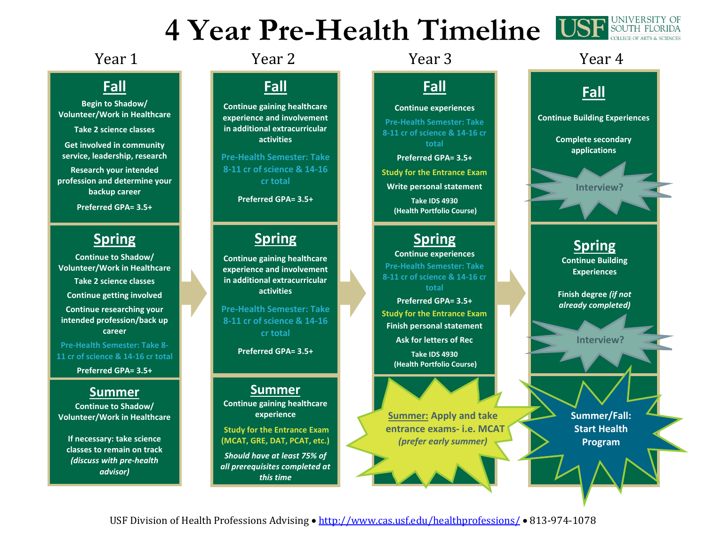# **4 Year Pre-Health Timeline USF SOUTH FLORIDA**



### Year 1 The Year 2 Tear 3 Tear 4 Network 1 Sear 4

### **Fall**

**Begin to Shadow/ Volunteer/Work in Healthcare**

**Take 2 science classes**

**Get involved in community service, leadership, research**

**Research your intended profession and determine your backup career**

**Preferred GPA= 3.5+** 

### **Spring**

**Continue to Shadow/ Volunteer/Work in Healthcare Take 2 science classes Continue getting involved Continue researching your intended profession/back up career**

**Pre-Health Semester: Take 8- 11 cr of science & 14-16 cr total**

**Preferred GPA= 3.5+** 

#### **Summer**

**Continue to Shadow/ Volunteer/Work in Healthcare**

**If necessary: take science classes to remain on track**  *(discuss with pre-health advisor)*

# **Fall**

**Continue gaining healthcare experience and involvement in additional extracurricular activities**

**Pre-Health Semester: Take 8-11 cr of science & 14-16 cr total**

**Preferred GPA= 3.5+** 

#### **Spring**

**Continue gaining healthcare experience and involvement in additional extracurricular activities**

**Pre-Health Semester: Take 8-11 cr of science & 14-16 cr total**

**Preferred GPA= 3.5+** 

## **Summer**

**Continue gaining healthcare experience**

**Study for the Entrance Exam (MCAT, GRE, DAT, PCAT, etc.)** 

*Should have at least 75% of all prerequisites completed at this time*

# **Fall**

**Continue experiences**

**Pre-Health Semester: Take 8-11 cr of science & 14-16 cr total**

**Preferred GPA= 3.5+ Study for the Entrance Exam Write personal statement Take IDS 4930 (Health Portfolio Course)**

#### **Spring**

**Continue experiences Pre-Health Semester: Take 8-11 cr of science & 14-16 cr total Preferred GPA= 3.5+ Study for the Entrance Exam Finish personal statement Ask for letters of Rec Take IDS 4930 (Health Portfolio Course)**

**Summer: Apply and take entrance exams- i.e. MCAT**  *(prefer early summer)*